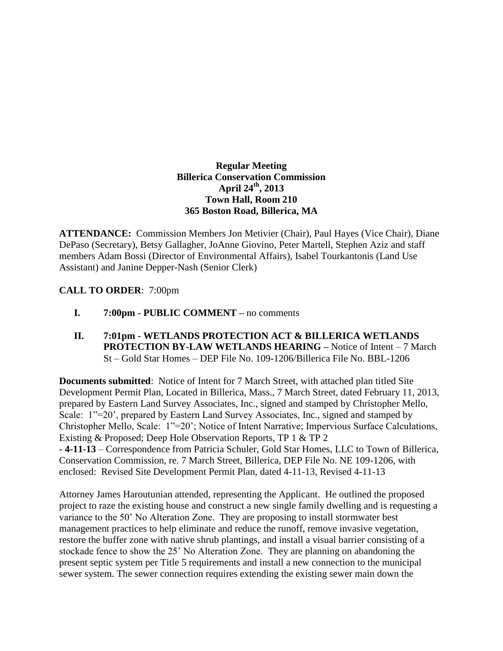## **Regular Meeting Billerica Conservation Commission April 24th , 2013 Town Hall, Room 210 365 Boston Road, Billerica, MA**

**ATTENDANCE:** Commission Members Jon Metivier (Chair), Paul Hayes (Vice Chair), Diane DePaso (Secretary), Betsy Gallagher, JoAnne Giovino, Peter Martell, Stephen Aziz and staff members Adam Bossi (Director of Environmental Affairs), Isabel Tourkantonis (Land Use Assistant) and Janine Depper-Nash (Senior Clerk)

## **CALL TO ORDER**: 7:00pm

- **I. 7:00pm - PUBLIC COMMENT –** no comments
- **II. 7:01pm - WETLANDS PROTECTION ACT & BILLERICA WETLANDS PROTECTION BY-LAW WETLANDS HEARING –** Notice of Intent – 7 March St – Gold Star Homes – DEP File No. 109-1206/Billerica File No. BBL-1206

**Documents submitted**: Notice of Intent for 7 March Street, with attached plan titled Site Development Permit Plan, Located in Billerica, Mass., 7 March Street, dated February 11, 2013, prepared by Eastern Land Survey Associates, Inc., signed and stamped by Christopher Mello, Scale: 1"=20', prepared by Eastern Land Survey Associates, Inc., signed and stamped by Christopher Mello, Scale: 1"=20'; Notice of Intent Narrative; Impervious Surface Calculations, Existing & Proposed; Deep Hole Observation Reports, TP 1 & TP 2 **- 4-11-13** – Correspondence from Patricia Schuler, Gold Star Homes, LLC to Town of Billerica, Conservation Commission, re. 7 March Street, Billerica, DEP File No. NE 109-1206, with enclosed: Revised Site Development Permit Plan, dated 4-11-13, Revised 4-11-13

Attorney James Haroutunian attended, representing the Applicant. He outlined the proposed project to raze the existing house and construct a new single family dwelling and is requesting a variance to the 50' No Alteration Zone. They are proposing to install stormwater best management practices to help eliminate and reduce the runoff, remove invasive vegetation, restore the buffer zone with native shrub plantings, and install a visual barrier consisting of a stockade fence to show the 25' No Alteration Zone. They are planning on abandoning the present septic system per Title 5 requirements and install a new connection to the municipal sewer system. The sewer connection requires extending the existing sewer main down the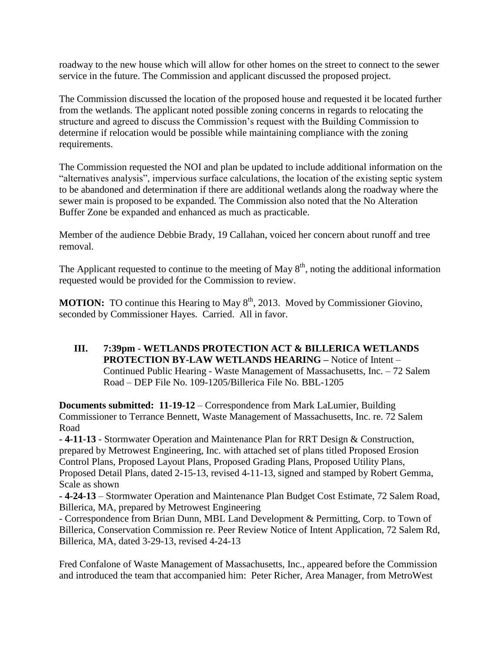roadway to the new house which will allow for other homes on the street to connect to the sewer service in the future. The Commission and applicant discussed the proposed project.

The Commission discussed the location of the proposed house and requested it be located further from the wetlands. The applicant noted possible zoning concerns in regards to relocating the structure and agreed to discuss the Commission's request with the Building Commission to determine if relocation would be possible while maintaining compliance with the zoning requirements.

The Commission requested the NOI and plan be updated to include additional information on the "alternatives analysis", impervious surface calculations, the location of the existing septic system to be abandoned and determination if there are additional wetlands along the roadway where the sewer main is proposed to be expanded. The Commission also noted that the No Alteration Buffer Zone be expanded and enhanced as much as practicable.

Member of the audience Debbie Brady, 19 Callahan, voiced her concern about runoff and tree removal.

The Applicant requested to continue to the meeting of May  $8<sup>th</sup>$ , noting the additional information requested would be provided for the Commission to review.

**MOTION:** TO continue this Hearing to May 8<sup>th</sup>, 2013. Moved by Commissioner Giovino, seconded by Commissioner Hayes. Carried. All in favor.

**III. 7:39pm - WETLANDS PROTECTION ACT & BILLERICA WETLANDS PROTECTION BY-LAW WETLANDS HEARING –** Notice of Intent – Continued Public Hearing - Waste Management of Massachusetts, Inc. – 72 Salem Road – DEP File No. 109-1205/Billerica File No. BBL-1205

**Documents submitted: 11-19-12** – Correspondence from Mark LaLumier, Building Commissioner to Terrance Bennett, Waste Management of Massachusetts, Inc. re. 72 Salem Road

**- 4-11-13** - Stormwater Operation and Maintenance Plan for RRT Design & Construction, prepared by Metrowest Engineering, Inc. with attached set of plans titled Proposed Erosion Control Plans, Proposed Layout Plans, Proposed Grading Plans, Proposed Utility Plans, Proposed Detail Plans, dated 2-15-13, revised 4-11-13, signed and stamped by Robert Gemma, Scale as shown

**- 4-24-13** – Stormwater Operation and Maintenance Plan Budget Cost Estimate, 72 Salem Road, Billerica, MA, prepared by Metrowest Engineering

- Correspondence from Brian Dunn, MBL Land Development & Permitting, Corp. to Town of Billerica, Conservation Commission re. Peer Review Notice of Intent Application, 72 Salem Rd, Billerica, MA, dated 3-29-13, revised 4-24-13

Fred Confalone of Waste Management of Massachusetts, Inc., appeared before the Commission and introduced the team that accompanied him: Peter Richer, Area Manager, from MetroWest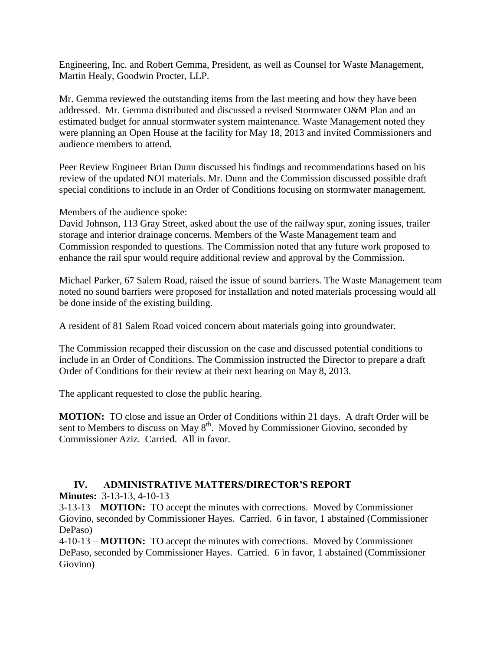Engineering, Inc. and Robert Gemma, President, as well as Counsel for Waste Management, Martin Healy, Goodwin Procter, LLP.

Mr. Gemma reviewed the outstanding items from the last meeting and how they have been addressed. Mr. Gemma distributed and discussed a revised Stormwater O&M Plan and an estimated budget for annual stormwater system maintenance. Waste Management noted they were planning an Open House at the facility for May 18, 2013 and invited Commissioners and audience members to attend.

Peer Review Engineer Brian Dunn discussed his findings and recommendations based on his review of the updated NOI materials. Mr. Dunn and the Commission discussed possible draft special conditions to include in an Order of Conditions focusing on stormwater management.

Members of the audience spoke:

David Johnson, 113 Gray Street, asked about the use of the railway spur, zoning issues, trailer storage and interior drainage concerns. Members of the Waste Management team and Commission responded to questions. The Commission noted that any future work proposed to enhance the rail spur would require additional review and approval by the Commission.

Michael Parker, 67 Salem Road, raised the issue of sound barriers. The Waste Management team noted no sound barriers were proposed for installation and noted materials processing would all be done inside of the existing building.

A resident of 81 Salem Road voiced concern about materials going into groundwater.

The Commission recapped their discussion on the case and discussed potential conditions to include in an Order of Conditions. The Commission instructed the Director to prepare a draft Order of Conditions for their review at their next hearing on May 8, 2013.

The applicant requested to close the public hearing.

**MOTION:** TO close and issue an Order of Conditions within 21 days. A draft Order will be sent to Members to discuss on May 8<sup>th</sup>. Moved by Commissioner Giovino, seconded by Commissioner Aziz. Carried. All in favor.

## **IV. ADMINISTRATIVE MATTERS/DIRECTOR'S REPORT**

**Minutes:** 3-13-13, 4-10-13

3-13-13 – **MOTION:** TO accept the minutes with corrections. Moved by Commissioner Giovino, seconded by Commissioner Hayes. Carried. 6 in favor, 1 abstained (Commissioner DePaso)

4-10-13 – **MOTION:** TO accept the minutes with corrections. Moved by Commissioner DePaso, seconded by Commissioner Hayes. Carried. 6 in favor, 1 abstained (Commissioner Giovino)